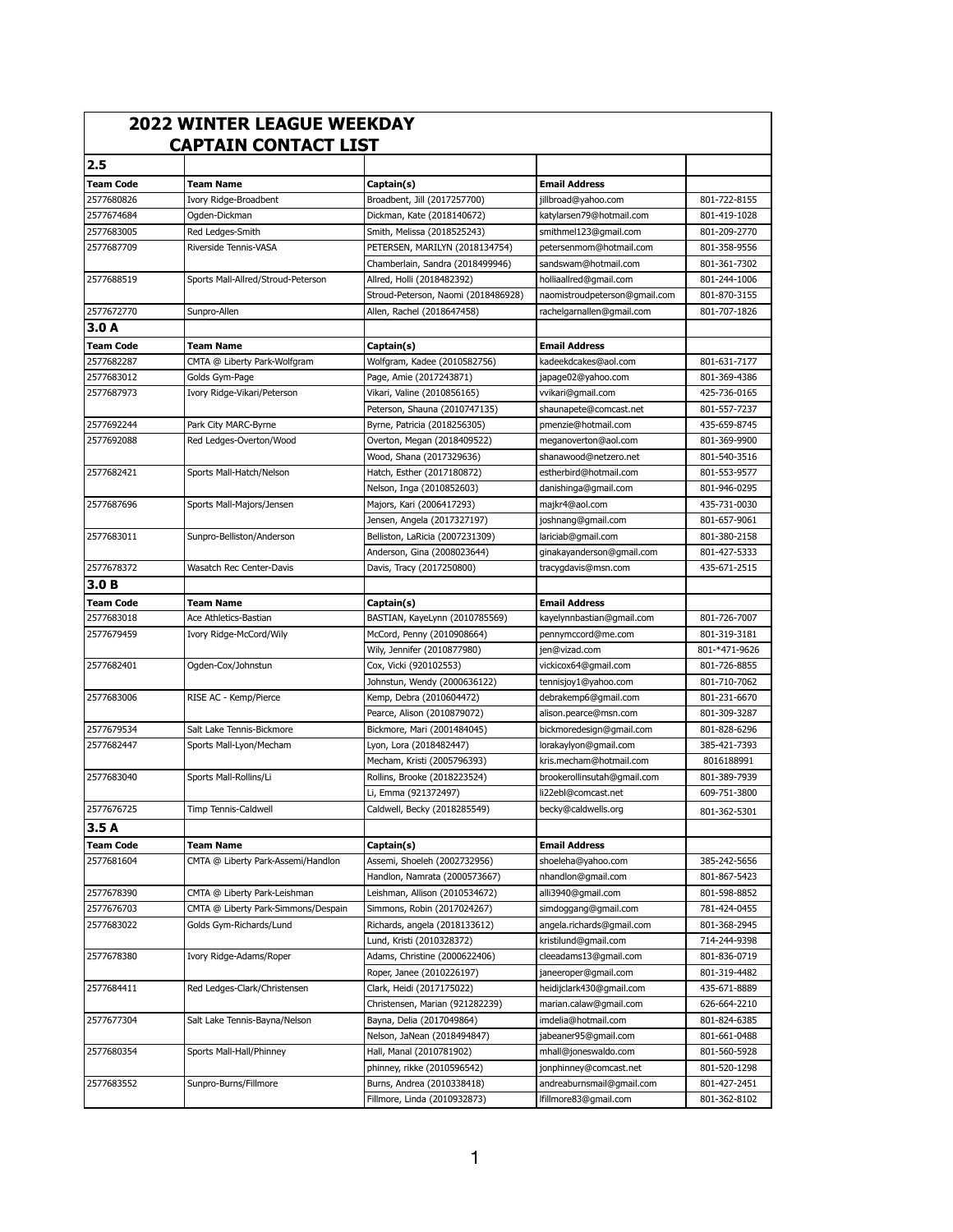| <b>2022 WINTER LEAGUE WEEKDAY</b><br><b>CAPTAIN CONTACT LIST</b> |                                                  |                                                        |                                              |               |
|------------------------------------------------------------------|--------------------------------------------------|--------------------------------------------------------|----------------------------------------------|---------------|
| 2.5                                                              |                                                  |                                                        |                                              |               |
| <b>Team Code</b>                                                 | <b>Team Name</b>                                 | Captain(s)                                             | <b>Email Address</b>                         |               |
| 2577680826                                                       | Ivory Ridge-Broadbent                            | Broadbent, Jill (2017257700)                           | jillbroad@yahoo.com                          | 801-722-8155  |
| 2577674684                                                       | Ogden-Dickman                                    | Dickman, Kate (2018140672)                             | katylarsen79@hotmail.com                     | 801-419-1028  |
| 2577683005                                                       | Red Ledges-Smith                                 | Smith, Melissa (2018525243)                            | smithmel123@gmail.com                        | 801-209-2770  |
| 2577687709                                                       | Riverside Tennis-VASA                            | PETERSEN, MARILYN (2018134754)                         | petersenmom@hotmail.com                      | 801-358-9556  |
|                                                                  |                                                  | Chamberlain, Sandra (2018499946)                       | sandswam@hotmail.com                         | 801-361-7302  |
| 2577688519                                                       | Sports Mall-Allred/Stroud-Peterson               | Allred, Holli (2018482392)                             | holliaallred@gmail.com                       | 801-244-1006  |
|                                                                  |                                                  | Stroud-Peterson, Naomi (2018486928)                    | naomistroudpeterson@gmail.com                | 801-870-3155  |
| 2577672770                                                       | Sunpro-Allen                                     | Allen, Rachel (2018647458)                             | rachelgarnallen@gmail.com                    | 801-707-1826  |
| 3.0A                                                             |                                                  |                                                        |                                              |               |
|                                                                  |                                                  |                                                        |                                              |               |
| <b>Team Code</b><br>2577682287                                   | <b>Team Name</b><br>CMTA @ Liberty Park-Wolfgram | Captain(s)<br>Wolfgram, Kadee (2010582756)             | <b>Email Address</b><br>kadeekdcakes@aol.com | 801-631-7177  |
| 2577683012                                                       | Golds Gym-Page                                   |                                                        |                                              | 801-369-4386  |
| 2577687973                                                       | Ivory Ridge-Vikari/Peterson                      | Page, Amie (2017243871)<br>Vikari, Valine (2010856165) | japage02@yahoo.com                           | 425-736-0165  |
|                                                                  |                                                  |                                                        | vvikari@gmail.com                            |               |
|                                                                  |                                                  | Peterson, Shauna (2010747135)                          | shaunapete@comcast.net                       | 801-557-7237  |
| 2577692244                                                       | Park City MARC-Byrne                             | Byrne, Patricia (2018256305)                           | pmenzie@hotmail.com                          | 435-659-8745  |
| 2577692088                                                       | Red Ledges-Overton/Wood                          | Overton, Megan (2018409522)                            | meganoverton@aol.com                         | 801-369-9900  |
|                                                                  |                                                  | Wood, Shana (2017329636)                               | shanawood@netzero.net                        | 801-540-3516  |
| 2577682421                                                       | Sports Mall-Hatch/Nelson                         | Hatch, Esther (2017180872)                             | estherbird@hotmail.com                       | 801-553-9577  |
|                                                                  |                                                  | Nelson, Inga (2010852603)                              | danishinga@gmail.com                         | 801-946-0295  |
| 2577687696                                                       | Sports Mall-Majors/Jensen                        | Majors, Kari (2006417293)                              | majkr4@aol.com                               | 435-731-0030  |
|                                                                  |                                                  | Jensen, Angela (2017327197)                            | joshnang@gmail.com                           | 801-657-9061  |
| 2577683011                                                       | Sunpro-Belliston/Anderson                        | Belliston, LaRicia (2007231309)                        | lariciab@gmail.com                           | 801-380-2158  |
|                                                                  |                                                  | Anderson, Gina (2008023644)                            | ginakayanderson@gmail.com                    | 801-427-5333  |
| 2577678372                                                       | Wasatch Rec Center-Davis                         | Davis, Tracy (2017250800)                              | tracygdavis@msn.com                          | 435-671-2515  |
| 3.0 <sub>B</sub>                                                 |                                                  |                                                        |                                              |               |
| <b>Team Code</b>                                                 | <b>Team Name</b>                                 | Captain(s)                                             | <b>Email Address</b>                         |               |
| 2577683018                                                       | Ace Athletics-Bastian                            | BASTIAN, KayeLynn (2010785569)                         | kayelynnbastian@gmail.com                    | 801-726-7007  |
| 2577679459                                                       | Ivory Ridge-McCord/Wily                          | McCord, Penny (2010908664)                             | pennymccord@me.com                           | 801-319-3181  |
|                                                                  |                                                  | Wily, Jennifer (2010877980)                            | jen@vizad.com                                | 801-*471-9626 |
| 2577682401                                                       | Ogden-Cox/Johnstun                               | Cox, Vicki (920102553)                                 | vickicox64@gmail.com                         | 801-726-8855  |
|                                                                  |                                                  | Johnstun, Wendy (2000636122)                           | tennisjoy1@yahoo.com                         | 801-710-7062  |
| 2577683006                                                       | RISE AC - Kemp/Pierce                            | Kemp, Debra (2010604472)                               | debrakemp6@gmail.com                         | 801-231-6670  |
|                                                                  |                                                  | Pearce, Alison (2010879072)                            | alison.pearce@msn.com                        | 801-309-3287  |
| 2577679534                                                       | Salt Lake Tennis-Bickmore                        | Bickmore, Mari (2001484045)                            | bickmoredesign@gmail.com                     | 801-828-6296  |
| 2577682447                                                       | Sports Mall-Lyon/Mecham                          | Lyon, Lora (2018482447)                                | lorakaylyon@gmail.com                        | 385-421-7393  |
|                                                                  |                                                  | Mecham, Kristi (2005796393)                            | kris.mecham@hotmail.com                      | 8016188991    |
| 2577683040                                                       | Sports Mall-Rollins/Li                           | Rollins, Brooke (2018223524)                           | brookerollinsutah@gmail.com                  | 801-389-7939  |
|                                                                  |                                                  | Li, Emma (921372497)                                   | li22ebl@comcast.net                          | 609-751-3800  |
| 2577676725                                                       | Timp Tennis-Caldwell                             | Caldwell, Becky (2018285549)                           | becky@caldwells.org                          | 801-362-5301  |
| 3.5A                                                             |                                                  |                                                        |                                              |               |
| <b>Team Code</b>                                                 | <b>Team Name</b>                                 | Captain(s)                                             | <b>Email Address</b>                         |               |
| 2577681604                                                       | CMTA @ Liberty Park-Assemi/Handlon               | Assemi, Shoeleh (2002732956)                           | shoeleha@yahoo.com                           | 385-242-5656  |
|                                                                  |                                                  | Handlon, Namrata (2000573667)                          | nhandlon@gmail.com                           | 801-867-5423  |
| 2577678390                                                       | CMTA @ Liberty Park-Leishman                     | Leishman, Allison (2010534672)                         | alli3940@gmail.com                           | 801-598-8852  |
| 2577676703                                                       | CMTA @ Liberty Park-Simmons/Despain              | Simmons, Robin (2017024267)                            |                                              | 781-424-0455  |
|                                                                  | Golds Gym-Richards/Lund                          |                                                        | simdoggang@gmail.com                         | 801-368-2945  |
| 2577683022                                                       |                                                  | Richards, angela (2018133612)                          | angela.richards@gmail.com                    |               |
|                                                                  |                                                  | Lund, Kristi (2010328372)                              | kristilund@gmail.com                         | 714-244-9398  |
| 2577678380                                                       | Ivory Ridge-Adams/Roper                          | Adams, Christine (2000622406)                          | cleeadams13@gmail.com                        | 801-836-0719  |
|                                                                  |                                                  | Roper, Janee (2010226197)                              | janeeroper@gmail.com                         | 801-319-4482  |
| 2577684411                                                       | Red Ledges-Clark/Christensen                     | Clark, Heidi (2017175022)                              | heidijclark430@gmail.com                     | 435-671-8889  |
|                                                                  |                                                  | Christensen, Marian (921282239)                        | marian.calaw@gmail.com                       | 626-664-2210  |
| 2577677304                                                       | Salt Lake Tennis-Bayna/Nelson                    | Bayna, Delia (2017049864)                              | imdelia@hotmail.com                          | 801-824-6385  |
|                                                                  |                                                  | Nelson, JaNean (2018494847)                            | jabeaner95@gmail.com                         | 801-661-0488  |
| 2577680354                                                       | Sports Mall-Hall/Phinney                         | Hall, Manal (2010781902)                               | mhall@joneswaldo.com                         | 801-560-5928  |
|                                                                  |                                                  | phinney, rikke (2010596542)                            | jonphinney@comcast.net                       | 801-520-1298  |
| 2577683552                                                       | Sunpro-Burns/Fillmore                            | Burns, Andrea (2010338418)                             | andreaburnsmail@gmail.com                    | 801-427-2451  |
|                                                                  |                                                  | Fillmore, Linda (2010932873)                           | lfillmore83@gmail.com                        | 801-362-8102  |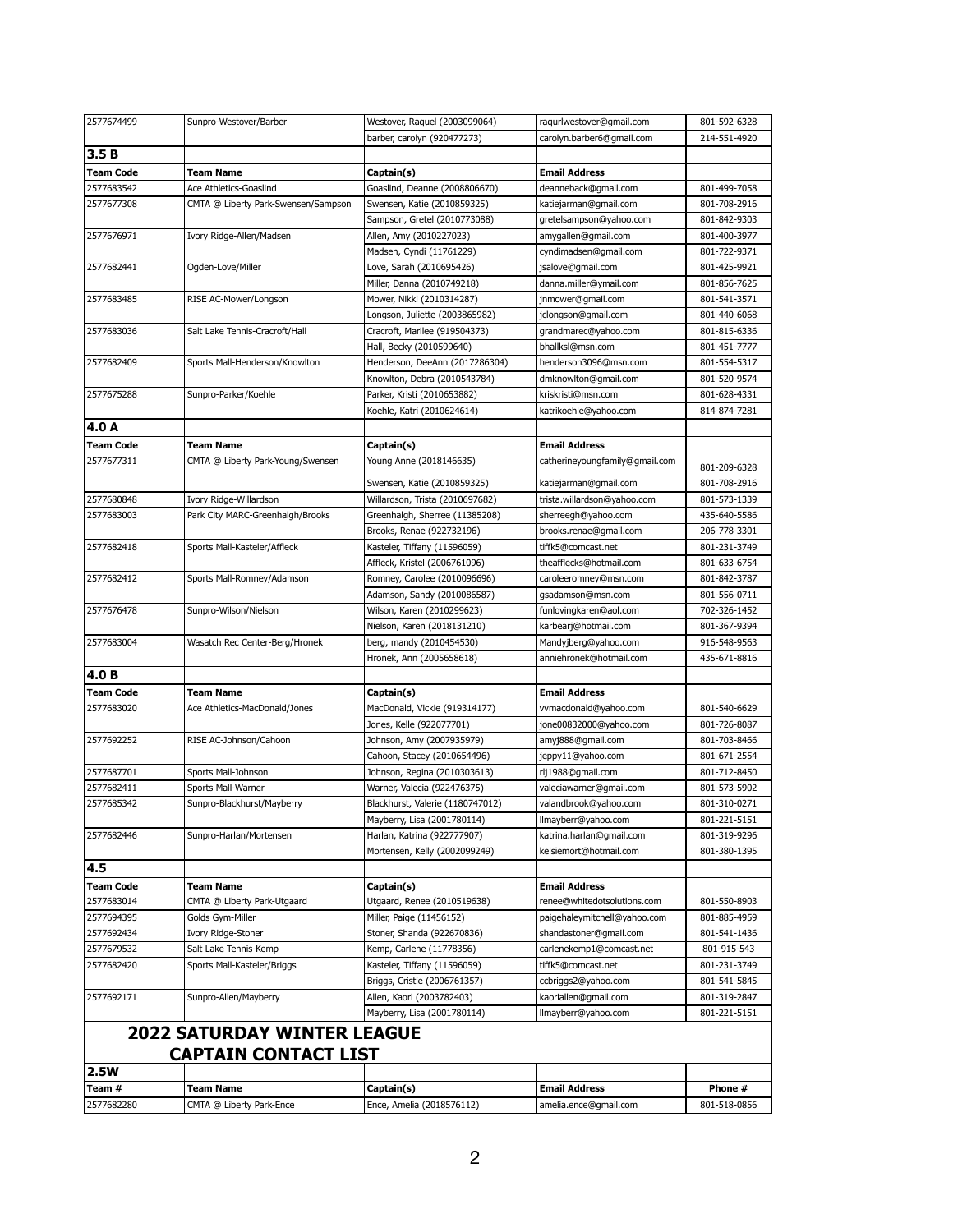| 2577674499               | Sunpro-Westover/Barber              | Westover, Raquel (2003099064)    | raqurlwestover@gmail.com       | 801-592-6328 |
|--------------------------|-------------------------------------|----------------------------------|--------------------------------|--------------|
|                          |                                     | barber, carolyn (920477273)      | carolyn.barber6@gmail.com      | 214-551-4920 |
| 3.5B                     |                                     |                                  |                                |              |
| <b>Team Code</b>         | Team Name                           | Captain(s)                       | <b>Email Address</b>           |              |
| 2577683542               | Ace Athletics-Goaslind              | Goaslind, Deanne (2008806670)    | deanneback@gmail.com           | 801-499-7058 |
| 2577677308               | CMTA @ Liberty Park-Swensen/Sampson | Swensen, Katie (2010859325)      | katiejarman@gmail.com          | 801-708-2916 |
|                          |                                     | Sampson, Gretel (2010773088)     | gretelsampson@yahoo.com        | 801-842-9303 |
| 2577676971               | Ivory Ridge-Allen/Madsen            | Allen, Amy (2010227023)          | amygallen@gmail.com            | 801-400-3977 |
|                          |                                     | Madsen, Cyndi (11761229)         | cyndimadsen@gmail.com          | 801-722-9371 |
| 2577682441<br>2577683485 | Ogden-Love/Miller                   | Love, Sarah (2010695426)         | jsalove@gmail.com              | 801-425-9921 |
|                          |                                     | Miller, Danna (2010749218)       | danna.miller@ymail.com         | 801-856-7625 |
|                          | RISE AC-Mower/Longson               | Mower, Nikki (2010314287)        | jnmower@gmail.com              | 801-541-3571 |
| 2577683036               |                                     | Longson, Juliette (2003865982)   | jclongson@gmail.com            | 801-440-6068 |
|                          | Salt Lake Tennis-Cracroft/Hall      | Cracroft, Marilee (919504373)    | grandmarec@yahoo.com           | 801-815-6336 |
|                          |                                     | Hall, Becky (2010599640)         | bhallksl@msn.com               | 801-451-7777 |
| 2577682409               | Sports Mall-Henderson/Knowlton      | Henderson, DeeAnn (2017286304)   | henderson3096@msn.com          | 801-554-5317 |
|                          |                                     | Knowlton, Debra (2010543784)     | dmknowlton@gmail.com           | 801-520-9574 |
| 2577675288               | Sunpro-Parker/Koehle                | Parker, Kristi (2010653882)      | kriskristi@msn.com             | 801-628-4331 |
|                          |                                     | Koehle, Katri (2010624614)       | katrikoehle@yahoo.com          | 814-874-7281 |
| 4.0 A                    |                                     |                                  |                                |              |
|                          |                                     |                                  |                                |              |
| <b>Team Code</b>         | <b>Team Name</b>                    | Captain(s)                       | <b>Email Address</b>           |              |
| 2577677311               | CMTA @ Liberty Park-Young/Swensen   | Young Anne (2018146635)          | catherineyoungfamily@gmail.com | 801-209-6328 |
|                          |                                     | Swensen, Katie (2010859325)      | katiejarman@gmail.com          | 801-708-2916 |
| 2577680848               | Ivory Ridge-Willardson              | Willardson, Trista (2010697682)  | trista.willardson@yahoo.com    | 801-573-1339 |
| 2577683003               | Park City MARC-Greenhalgh/Brooks    | Greenhalgh, Sherree (11385208)   | sherreegh@yahoo.com            | 435-640-5586 |
|                          |                                     | Brooks, Renae (922732196)        | brooks.renae@gmail.com         | 206-778-3301 |
| 2577682418               | Sports Mall-Kasteler/Affleck        | Kasteler, Tiffany (11596059)     | tiffk5@comcast.net             | 801-231-3749 |
|                          |                                     | Affleck, Kristel (2006761096)    | theafflecks@hotmail.com        | 801-633-6754 |
| 2577682412               | Sports Mall-Romney/Adamson          | Romney, Carolee (2010096696)     | caroleeromney@msn.com          | 801-842-3787 |
|                          |                                     | Adamson, Sandy (2010086587)      | gsadamson@msn.com              | 801-556-0711 |
| 2577676478               | Sunpro-Wilson/Nielson               | Wilson, Karen (2010299623)       | funlovingkaren@aol.com         | 702-326-1452 |
|                          |                                     | Nielson, Karen (2018131210)      | karbearj@hotmail.com           | 801-367-9394 |
| 2577683004               | Wasatch Rec Center-Berg/Hronek      | berg, mandy (2010454530)         | Mandyjberg@yahoo.com           | 916-548-9563 |
|                          |                                     | Hronek, Ann (2005658618)         | anniehronek@hotmail.com        | 435-671-8816 |
| 4.0B                     |                                     |                                  |                                |              |
| <b>Team Code</b>         | <b>Team Name</b>                    | Captain(s)                       | <b>Email Address</b>           |              |
| 2577683020               | Ace Athletics-MacDonald/Jones       | MacDonald, Vickie (919314177)    | vvmacdonald@yahoo.com          | 801-540-6629 |
|                          |                                     | Jones, Kelle (922077701)         | jone00832000@yahoo.com         | 801-726-8087 |
| 2577692252               | RISE AC-Johnson/Cahoon              | Johnson, Amy (2007935979)        | amyj888@gmail.com              | 801-703-8466 |
|                          |                                     | Cahoon, Stacey (2010654496)      | jeppy11@yahoo.com              | 801-671-2554 |
| 2577687701               | Sports Mall-Johnson                 | Johnson, Regina (2010303613)     | rlj1988@gmail.com              | 801-712-8450 |
| 2577682411               | Sports Mall-Warner                  | Warner, Valecia (922476375)      | valeciawarner@gmail.com        | 801-573-5902 |
| 2577685342               | Sunpro-Blackhurst/Mayberry          | Blackhurst, Valerie (1180747012) | valandbrook@yahoo.com          | 801-310-0271 |
|                          |                                     | Mayberry, Lisa (2001780114)      | llmayberr@yahoo.com            | 801-221-5151 |
| 2577682446               | Sunpro-Harlan/Mortensen             | Harlan, Katrina (922777907)      | katrina.harlan@gmail.com       | 801-319-9296 |
|                          |                                     | Mortensen, Kelly (2002099249)    | kelsiemort@hotmail.com         | 801-380-1395 |
| 4.5                      |                                     |                                  |                                |              |
| <b>Team Code</b>         | <b>Team Name</b>                    | Captain(s)                       | <b>Email Address</b>           |              |
| 2577683014               | CMTA @ Liberty Park-Utgaard         | Utgaard, Renee (2010519638)      | renee@whitedotsolutions.com    | 801-550-8903 |
| 2577694395               | Golds Gym-Miller                    | Miller, Paige (11456152)         |                                | 801-885-4959 |
|                          |                                     |                                  | paigehaleymitchell@yahoo.com   |              |
| 2577692434               | Ivory Ridge-Stoner                  | Stoner, Shanda (922670836)       | shandastoner@gmail.com         | 801-541-1436 |
| 2577679532               | Salt Lake Tennis-Kemp               | Kemp, Carlene (11778356)         | carlenekemp1@comcast.net       | 801-915-543  |
| 2577682420               | Sports Mall-Kasteler/Briggs         | Kasteler, Tiffany (11596059)     | tiffk5@comcast.net             | 801-231-3749 |
|                          |                                     | Briggs, Cristie (2006761357)     | ccbriggs2@yahoo.com            | 801-541-5845 |
| 2577692171               | Sunpro-Allen/Mayberry               | Allen, Kaori (2003782403)        | kaoriallen@gmail.com           | 801-319-2847 |
|                          |                                     | Mayberry, Lisa (2001780114)      | llmayberr@yahoo.com            | 801-221-5151 |
|                          | <b>2022 SATURDAY WINTER LEAGUE</b>  |                                  |                                |              |
|                          | <b>CAPTAIN CONTACT LIST</b>         |                                  |                                |              |
| 2.5W                     |                                     |                                  |                                |              |
| Team #                   | <b>Team Name</b>                    | Captain(s)                       | <b>Email Address</b>           | Phone #      |
| 2577682280               | CMTA @ Liberty Park-Ence            | Ence, Amelia (2018576112)        | amelia.ence@gmail.com          | 801-518-0856 |
|                          |                                     |                                  |                                |              |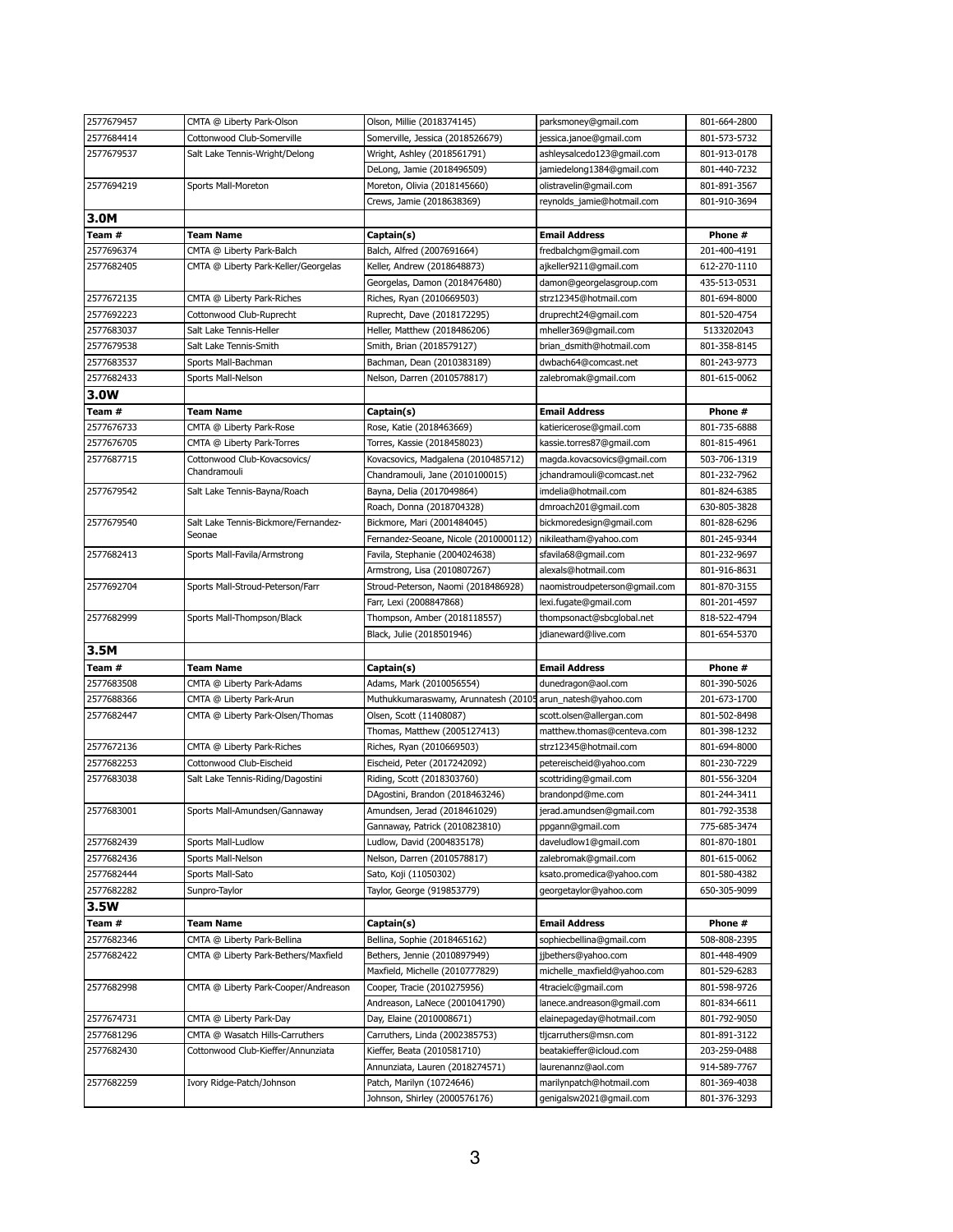| 2577679457 | CMTA @ Liberty Park-Olson            | Olson, Millie (2018374145)                                      | parksmoney@gmail.com                                | 801-664-2800                 |
|------------|--------------------------------------|-----------------------------------------------------------------|-----------------------------------------------------|------------------------------|
| 2577684414 | Cottonwood Club-Somerville           | Somerville, Jessica (2018526679)                                | jessica.janoe@gmail.com                             | 801-573-5732                 |
| 2577679537 | Salt Lake Tennis-Wright/Delong       | Wright, Ashley (2018561791)                                     | ashleysalcedo123@qmail.com                          | 801-913-0178                 |
|            |                                      | DeLong, Jamie (2018496509)                                      | jamiedelong1384@gmail.com                           | 801-440-7232                 |
| 2577694219 | Sports Mall-Moreton                  | Moreton, Olivia (2018145660)                                    | olistravelin@gmail.com                              | 801-891-3567                 |
|            |                                      | Crews, Jamie (2018638369)                                       | reynolds_jamie@hotmail.com                          | 801-910-3694                 |
| 3.0M       |                                      |                                                                 |                                                     |                              |
| Team #     | <b>Team Name</b>                     | Captain(s)                                                      | <b>Email Address</b>                                | Phone #                      |
| 2577696374 | CMTA @ Liberty Park-Balch            | Balch, Alfred (2007691664)                                      | fredbalchgm@gmail.com                               | 201-400-4191                 |
| 2577682405 | CMTA @ Liberty Park-Keller/Georgelas | Keller, Andrew (2018648873)                                     | ajkeller9211@gmail.com                              | 612-270-1110                 |
|            |                                      | Georgelas, Damon (2018476480)                                   | damon@georgelasgroup.com                            | 435-513-0531                 |
| 2577672135 | CMTA @ Liberty Park-Riches           | Riches, Ryan (2010669503)                                       | strz12345@hotmail.com                               | 801-694-8000                 |
| 2577692223 | Cottonwood Club-Ruprecht             | Ruprecht, Dave (2018172295)                                     | druprecht24@gmail.com                               | 801-520-4754                 |
| 2577683037 | Salt Lake Tennis-Heller              | Heller, Matthew (2018486206)                                    | mheller369@gmail.com                                | 5133202043                   |
| 2577679538 | Salt Lake Tennis-Smith               | Smith, Brian (2018579127)                                       | brian_dsmith@hotmail.com                            | 801-358-8145                 |
| 2577683537 | Sports Mall-Bachman                  | Bachman, Dean (2010383189)                                      | dwbach64@comcast.net                                | 801-243-9773                 |
| 2577682433 | Sports Mall-Nelson                   | Nelson, Darren (2010578817)                                     | zalebromak@gmail.com                                | 801-615-0062                 |
| 3.0W       |                                      |                                                                 |                                                     |                              |
| Team #     | <b>Team Name</b>                     | Captain(s)                                                      | <b>Email Address</b>                                | Phone #                      |
| 2577676733 | CMTA @ Liberty Park-Rose             | Rose, Katie (2018463669)                                        | katiericerose@gmail.com                             | 801-735-6888                 |
| 2577676705 | CMTA @ Liberty Park-Torres           | Torres, Kassie (2018458023)                                     | kassie.torres87@gmail.com                           | 801-815-4961                 |
| 2577687715 | Cottonwood Club-Kovacsovics/         | Kovacsovics, Madgalena (2010485712)                             | magda.kovacsovics@gmail.com                         | 503-706-1319                 |
|            | Chandramouli                         | Chandramouli, Jane (2010100015)                                 | jchandramouli@comcast.net                           | 801-232-7962                 |
| 2577679542 | Salt Lake Tennis-Bayna/Roach         | Bayna, Delia (2017049864)                                       | imdelia@hotmail.com                                 | 801-824-6385                 |
|            |                                      | Roach, Donna (2018704328)                                       | dmroach201@gmail.com                                | 630-805-3828                 |
| 2577679540 | Salt Lake Tennis-Bickmore/Fernandez- | Bickmore, Mari (2001484045)                                     | bickmoredesign@gmail.com                            | 801-828-6296                 |
|            | Seonae                               | Fernandez-Seoane, Nicole (2010000112)                           | nikileatham@yahoo.com                               | 801-245-9344                 |
| 2577682413 | Sports Mall-Favila/Armstrong         | Favila, Stephanie (2004024638)                                  | sfavila68@gmail.com                                 | 801-232-9697                 |
|            |                                      | Armstrong, Lisa (2010807267)                                    | alexals@hotmail.com                                 | 801-916-8631                 |
| 2577692704 | Sports Mall-Stroud-Peterson/Farr     | Stroud-Peterson, Naomi (2018486928)                             | naomistroudpeterson@gmail.com                       | 801-870-3155                 |
|            |                                      | Farr, Lexi (2008847868)                                         | lexi.fugate@gmail.com                               | 801-201-4597                 |
| 2577682999 | Sports Mall-Thompson/Black           | Thompson, Amber (2018118557)                                    | thompsonact@sbcglobal.net                           | 818-522-4794                 |
|            |                                      | Black, Julie (2018501946)                                       | jdianeward@live.com                                 | 801-654-5370                 |
| 3.5M       |                                      |                                                                 |                                                     |                              |
| Team #     | <b>Team Name</b>                     | Captain(s)                                                      | <b>Email Address</b>                                | Phone #                      |
| 2577683508 | CMTA @ Liberty Park-Adams            | Adams, Mark (2010056554)                                        | dunedragon@aol.com                                  | 801-390-5026                 |
| 2577688366 | CMTA @ Liberty Park-Arun             | Muthukkumaraswamy, Arunnatesh (20105 arun_natesh@yahoo.com      |                                                     | 201-673-1700                 |
| 2577682447 | CMTA @ Liberty Park-Olsen/Thomas     | Olsen, Scott (11408087)                                         | scott.olsen@allergan.com                            | 801-502-8498                 |
|            |                                      | Thomas, Matthew (2005127413)                                    | matthew.thomas@centeva.com                          | 801-398-1232                 |
| 2577672136 | CMTA @ Liberty Park-Riches           | Riches, Ryan (2010669503)                                       | strz12345@hotmail.com                               |                              |
| 2577682253 |                                      |                                                                 |                                                     |                              |
| 2577683038 |                                      |                                                                 |                                                     | 801-694-8000                 |
|            | Cottonwood Club-Eischeid             | Eischeid, Peter (2017242092)                                    | petereischeid@yahoo.com                             | 801-230-7229                 |
|            | Salt Lake Tennis-Riding/Dagostini    | Riding, Scott (2018303760)                                      | scottriding@gmail.com                               | 801-556-3204                 |
| 2577683001 | Sports Mall-Amundsen/Gannaway        | DAgostini, Brandon (2018463246)<br>Amundsen, Jerad (2018461029) | brandonpd@me.com<br>jerad.amundsen@gmail.com        | 801-244-3411<br>801-792-3538 |
|            |                                      | Gannaway, Patrick (2010823810)                                  |                                                     | 775-685-3474                 |
| 2577682439 | Sports Mall-Ludlow                   | Ludlow, David (2004835178)                                      | ppgann@gmail.com<br>daveludlow1@gmail.com           | 801-870-1801                 |
| 2577682436 | Sports Mall-Nelson                   | Nelson, Darren (2010578817)                                     | zalebromak@gmail.com                                | 801-615-0062                 |
| 2577682444 |                                      | Sato, Koji (11050302)                                           | ksato.promedica@yahoo.com                           | 801-580-4382                 |
| 2577682282 | Sports Mall-Sato                     |                                                                 |                                                     | 650-305-9099                 |
|            | Sunpro-Taylor                        | Taylor, George (919853779)                                      | georgetaylor@yahoo.com                              |                              |
| 3.5W       |                                      |                                                                 |                                                     |                              |
| Team #     | <b>Team Name</b>                     | Captain(s)                                                      | <b>Email Address</b>                                | Phone #                      |
| 2577682346 | CMTA @ Liberty Park-Bellina          | Bellina, Sophie (2018465162)                                    | sophiecbellina@gmail.com                            | 508-808-2395                 |
| 2577682422 | CMTA @ Liberty Park-Bethers/Maxfield | Bethers, Jennie (2010897949)                                    | jjbethers@yahoo.com                                 | 801-448-4909                 |
|            |                                      | Maxfield, Michelle (2010777829)                                 | michelle_maxfield@yahoo.com                         | 801-529-6283                 |
| 2577682998 | CMTA @ Liberty Park-Cooper/Andreason | Cooper, Tracie (2010275956)                                     | 4tracielc@gmail.com                                 | 801-598-9726                 |
|            |                                      | Andreason, LaNece (2001041790)                                  | lanece.andreason@gmail.com                          | 801-834-6611                 |
| 2577674731 | CMTA @ Liberty Park-Day              | Day, Elaine (2010008671)                                        | elainepageday@hotmail.com                           | 801-792-9050                 |
| 2577681296 | CMTA @ Wasatch Hills-Carruthers      | Carruthers, Linda (2002385753)                                  | tljcarruthers@msn.com                               | 801-891-3122                 |
| 2577682430 | Cottonwood Club-Kieffer/Annunziata   | Kieffer, Beata (2010581710)                                     | beatakieffer@icloud.com                             | 203-259-0488                 |
|            |                                      | Annunziata, Lauren (2018274571)                                 | laurenannz@aol.com                                  | 914-589-7767                 |
| 2577682259 | Ivory Ridge-Patch/Johnson            | Patch, Marilyn (10724646)<br>Johnson, Shirley (2000576176)      | marilynpatch@hotmail.com<br>genigalsw2021@gmail.com | 801-369-4038<br>801-376-3293 |